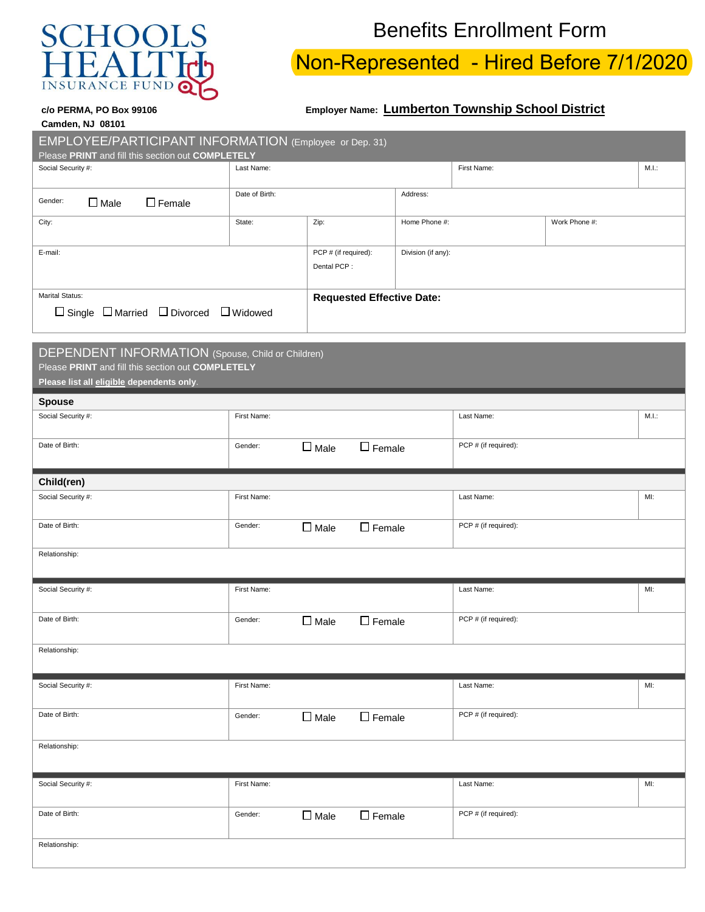

**Camden, NJ 08101** 

## Benefits Enrollment Form

## Non-Represented - Hired Before 7/1/2020

## **c/o PERMA, PO Box 99106 Employer Name: Lumberton Township School District**

| EMPLOYEE/PARTICIPANT INFORMATION (Employee or Dep. 31)<br>Please PRINT and fill this section out COMPLETELY                                         |                                            |                                    |                    |                      |  |       |  |
|-----------------------------------------------------------------------------------------------------------------------------------------------------|--------------------------------------------|------------------------------------|--------------------|----------------------|--|-------|--|
| Social Security #:                                                                                                                                  | Last Name:                                 |                                    |                    | First Name:          |  | M.I.: |  |
| Gender:<br>$\Box$ Female<br>$\Box$ Male                                                                                                             | Date of Birth:<br>Address:                 |                                    |                    |                      |  |       |  |
| City:                                                                                                                                               | Zip:<br>State:                             |                                    | Home Phone #:      | Work Phone #:        |  |       |  |
| E-mail:                                                                                                                                             | PCP # (if required):<br>Dental PCP:        |                                    | Division (if any): |                      |  |       |  |
| Marital Status:<br>$\Box$ Single $\Box$ Married $\Box$ Divorced $\Box$ Widowed                                                                      |                                            | <b>Requested Effective Date:</b>   |                    |                      |  |       |  |
| DEPENDENT INFORMATION (Spouse, Child or Children)<br>Please PRINT and fill this section out COMPLETELY<br>Please list all eligible dependents only. |                                            |                                    |                    |                      |  |       |  |
| <b>Spouse</b>                                                                                                                                       |                                            |                                    |                    |                      |  |       |  |
| Social Security #:                                                                                                                                  | First Name:                                |                                    |                    | Last Name:           |  | M.I.: |  |
| Date of Birth:                                                                                                                                      | $\square$ Male<br>$\Box$ Female<br>Gender: |                                    |                    | PCP # (if required): |  |       |  |
| Child(ren)                                                                                                                                          |                                            |                                    |                    |                      |  |       |  |
| Social Security #:                                                                                                                                  | First Name:                                |                                    |                    | Last Name:           |  | MI:   |  |
| Date of Birth:                                                                                                                                      | Gender:<br>$\Box$ Male<br>$\Box$ Female    |                                    |                    | PCP # (if required): |  |       |  |
| Relationship:                                                                                                                                       |                                            |                                    |                    |                      |  |       |  |
| Social Security #:                                                                                                                                  | First Name:                                |                                    |                    | Last Name:           |  | MI:   |  |
| Date of Birth:                                                                                                                                      | Gender:<br>$\square$ Male<br>$\Box$ Female |                                    |                    | PCP # (if required): |  |       |  |
| Relationship:                                                                                                                                       |                                            |                                    |                    |                      |  |       |  |
| Social Security #:                                                                                                                                  | First Name:                                |                                    |                    | Last Name:           |  | MI:   |  |
| Date of Birth:                                                                                                                                      | Gender:                                    | $\square$ Female<br>$\square$ Male |                    | PCP # (if required): |  |       |  |
| Relationship:                                                                                                                                       |                                            |                                    |                    |                      |  |       |  |
| Social Security #:                                                                                                                                  | First Name:                                |                                    |                    | Last Name:           |  | MI:   |  |
| Date of Birth:                                                                                                                                      | Gender:                                    | $\square$ Female<br>$\square$ Male |                    | PCP # (if required): |  |       |  |
| Relationship:                                                                                                                                       |                                            |                                    |                    |                      |  |       |  |